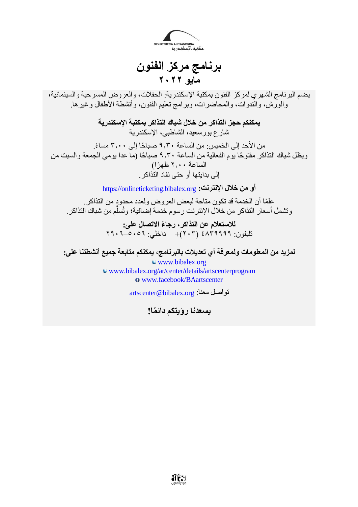

**برنامج مركز الفنون مايو 2022**

يضم البرنامج الشهري لمركز الفنون بمكتبة اإلسكندرية: الحفالت، والعروض المسرحية والسينمائية، والورش، والندوات، والمحاضرات، وبرامج تعليم الفنون، وأنشطة األطفال وغيرها.

> **يمكنكم حجز التذاكر من خالل شباك التذاكر بمكتبة اإلسكندرية** .<br>شار ع بورسعيد، الشاطبي، الإسكندرية

من الأحد إلى الخميس: من الساعة ٩,٣٠ صباحًا إلى ٣,٠٠ مساءً. ويظل شباك التذاكر مفتو ًحا يوم الفعالية من الساعة 9.30 صبا ًحا )ما عدا يومي الجمعة والسبت من الساعة 2.00 ظهًرا( إلى بدايتها أو حتى نفاد التذاكر.

**أو من خالل اإلنترنت:** [org.bibalex.onlineticketing://https](https://onlineticketing.bibalex.org/)

علمًا أن الخدمة قد تكون متاحة لبعض العروض ولعدد محدود من التذاكر. وتشمل أسعار التذاكر من خلال الإنترنت رسوم خدمة إضافية؛ وتُسلَّم من شباك التذاكر .

> **لالستعالم عن التذاكر، رجا ًء االتصال على:** تليفون: 489999 (٢٠٣)+ داخلي: ٥٠٥٦-٢٩٠٦

**لمزيد من المعلومات ولمعرفة أي تعديالت بالبرنامج، يمكنكم متابعة جميع أنشطتنا على:**

[www.bibalex.org](http://www.bibalex.org/) www.bibalex.org/ar/center/details/artscenterprogram [www.facebook/BAartscenter](http://www.facebook/BAartscenter)

[artscenter@bibalex.org](mailto:artscenter@bibalex.org) :معنا تواصل

**يسعدنا رؤيتكم دائمًا!** 

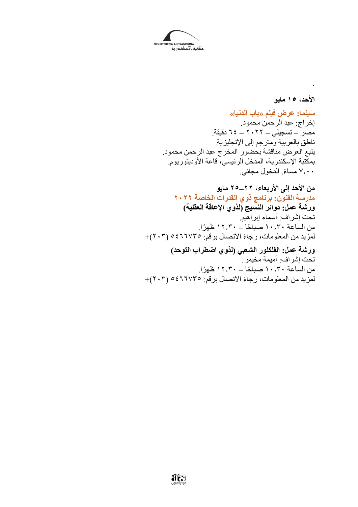

**األحد، 15 مايو سينما: عرض فيلم »باب الدنيا«** إخراج: عبد الرحمن محمود. مصر – تسجيلي – 2022 – 64 دقيقة. ناطق بالعربية ومترجم إلى اإلنجليزية. يتبع العرض مناقشة بحضور المخرج عبد الرحمن محمود. بمكتبة اإلسكندرية، المدخل الرئيسي، قاعة األوديتوريوم. ًء. الدخول مجاني. 7.00 مسا

.

**من األحد إلى األربعاء، 22–25 مايو مدرسة الفنون: برنامج ذوي القدرات الخاصة 2022 ورشة عمل: دوائر النسيج )لذوي اإلعاقة العقلية(** تحت إشراف: أسماء إبراهيم. من الساعة 10.30 صبا ًحا – 12.30 ظهًرا. لمزيد من المعلومات، رجاءً الاتصال برقم: 021776 )+ **ورشة عمل: الفلكلور الشعبي )لذوي اضطراب التوحد(**

تحت إشراف: أميمة مخيمر. من الساعة ١٠,٣٠ صباحًا – ١٢,٣٠ ظهرًا. المزيد من المعلومات، رجاءً الاتصال برقم: ٢٠٢٥ه (٢٠٢)+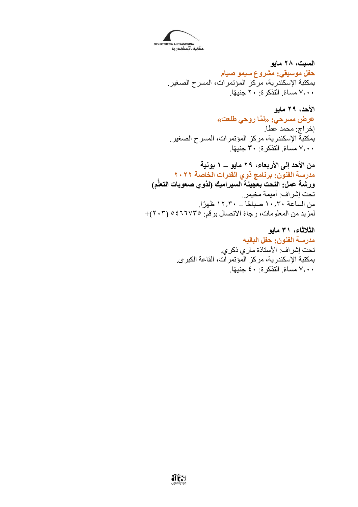

**السبت، 28 مايو حفل موسيقي: مشروع سيمو صيام** بمكتبة اإلسكندرية، مركز المؤتمرات، المسرح الصغير. ًء. التذكرة: 20 جني ًها. 7.00 مسا

**األحد، 29 مايو عرض مسرحي: »ل َّما روحي طلعت«** إخراج: محمد عطا. بمكتبة اإلسكندرية، مركز المؤتمرات، المسرح الصغير. ًء. التذكرة: 30 جني ًها. 7.00 مسا

**من األحد إلى األربعاء، 29 مايو – 1 يونية مدرسة الفنون: برنامج ذوي القدرات الخاصة 2022 ورشة عمل: النحت بعجينة السيراميك )لذوي صعوبات التعل م(** تحت إشراف: أميمة مخيمر. من الساعة 10.30 صبا ًحا – 12.30 ظهًرا. لمزيد من المعلومات، رجاءً الاتصال بر قم: ٢٦٦٧٣٥ (٢٠٢)+

> **الثالثاء، 31 مايو مدرسة الفنون: حفل الباليه** تحت إشراف: األستاذة ماري ذكري. بمكتبة اإلسكندرية، مركز المؤتمرات، القاعة الكبرى. ًء. التذكرة: 40 جني ًها. 7.00 مسا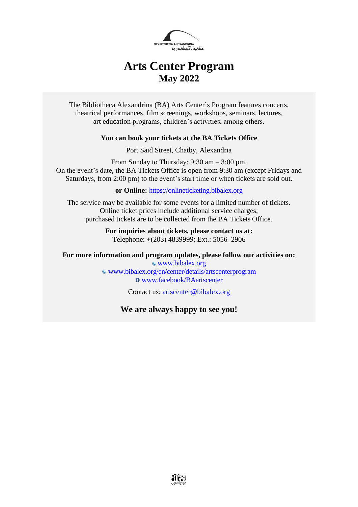

# **Arts Center Program May 2022**

The Bibliotheca Alexandrina (BA) Arts Center's Program features concerts, theatrical performances, film screenings, workshops, seminars, lectures, art education programs, children's activities, among others.

#### **You can book your tickets at the BA Tickets Office**

Port Said Street, Chatby, Alexandria

From Sunday to Thursday: 9:30 am – 3:00 pm. On the event's date, the BA Tickets Office is open from 9:30 am (except Fridays and Saturdays, from 2:00 pm) to the event's start time or when tickets are sold out.

**or Online:** [https://onlineticketing.bibalex.org](https://onlineticketing.bibalex.org/)

The service may be available for some events for a limited number of tickets. Online ticket prices include additional service charges; purchased tickets are to be collected from the BA Tickets Office.

> **For inquiries about tickets, please contact us at:** Telephone: +(203) 4839999; Ext.: 5056–2906

**For more information and program updates, please follow our activities on:**

[www.bibalex.org](http://www.bibalex.org/) [www.bibalex.org/en/center/details/artscenterprogram](http://www.bibalex.org/en/center/details/artscenterprogram) [www.facebook/BAartscenter](http://www.facebook/BAartscenter)

Contact us: [artscenter@bibalex.org](mailto:artscenter@bibalex.org)

## **We are always happy to see you!**